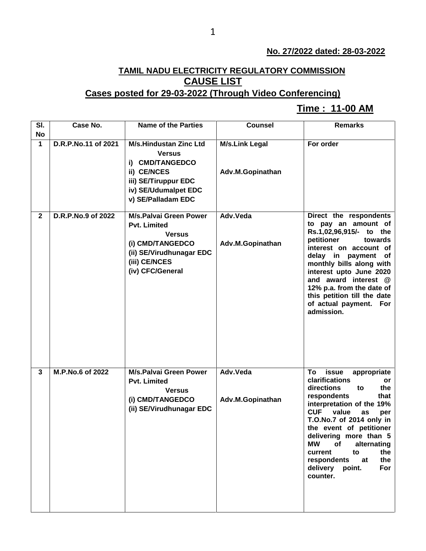## **No. 27/2022 dated: 28-03-2022**

## **TAMIL NADU ELECTRICITY REGULATORY COMMISSION CAUSE LIST**

## **Cases posted for 29-03-2022 (Through Video Conferencing)**

## **Time : 11-00 AM[**

| SI.          | Case No.            | <b>Name of the Parties</b>                                                                                                                                 | <b>Counsel</b>                            | <b>Remarks</b>                                                                                                                                                                                                                                                                                                                                                                     |
|--------------|---------------------|------------------------------------------------------------------------------------------------------------------------------------------------------------|-------------------------------------------|------------------------------------------------------------------------------------------------------------------------------------------------------------------------------------------------------------------------------------------------------------------------------------------------------------------------------------------------------------------------------------|
| <b>No</b>    |                     |                                                                                                                                                            |                                           |                                                                                                                                                                                                                                                                                                                                                                                    |
| $\mathbf{1}$ | D.R.P.No.11 of 2021 | <b>M/s.Hindustan Zinc Ltd</b><br><b>Versus</b><br>i) CMD/TANGEDCO<br>ii) CE/NCES<br>iii) SE/Tiruppur EDC<br>iv) SE/Udumalpet EDC<br>v) SE/Palladam EDC     | <b>M/s.Link Legal</b><br>Adv.M.Gopinathan | For order                                                                                                                                                                                                                                                                                                                                                                          |
| $\mathbf{2}$ | D.R.P.No.9 of 2022  | <b>M/s.Palvai Green Power</b><br><b>Pvt. Limited</b><br><b>Versus</b><br>(i) CMD/TANGEDCO<br>(ii) SE/Virudhunagar EDC<br>(iii) CE/NCES<br>(iv) CFC/General | Adv.Veda<br>Adv.M.Gopinathan              | Direct the respondents<br>to pay an amount of<br>Rs.1,02,96,915/- to the<br>petitioner<br>towards<br>interest on account of<br>delay in payment of<br>monthly bills along with<br>interest upto June 2020<br>and award interest @<br>12% p.a. from the date of<br>this petition till the date<br>of actual payment. For<br>admission.                                              |
| 3            | M.P.No.6 of 2022    | <b>M/s.Palvai Green Power</b><br><b>Pvt. Limited</b><br><b>Versus</b><br>(i) CMD/TANGEDCO<br>(ii) SE/Virudhunagar EDC                                      | Adv.Veda<br>Adv.M.Gopinathan              | To<br>issue<br>appropriate<br>clarifications<br>or<br>directions<br>the<br>to<br>respondents<br>that<br>interpretation of the 19%<br><b>CUF</b><br>value<br>as<br>per<br>T.O.No.7 of 2014 only in<br>the event of petitioner<br>delivering more than 5<br><b>MW</b><br>alternating<br>of<br>the<br>current<br>to<br>respondents<br>the<br>at<br>delivery point.<br>For<br>counter. |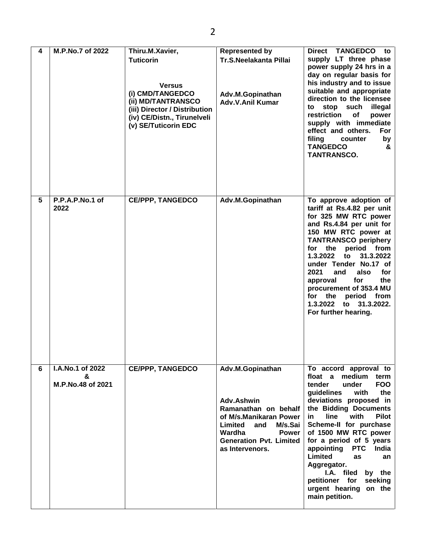| 4 | M.P.No.7 of 2022                           | Thiru.M.Xavier,<br><b>Tuticorin</b><br><b>Versus</b><br>(i) CMD/TANGEDCO<br>(ii) MD/TANTRANSCO<br>(iii) Director / Distribution<br>(iv) CE/Distn., Tirunelveli<br>(v) SE/Tuticorin EDC | <b>Represented by</b><br>Tr.S.Neelakanta Pillai<br>Adv.M.Gopinathan<br>Adv.V.Anil Kumar                                                                                               | Direct TANGEDCO to<br>supply LT three phase<br>power supply 24 hrs in a<br>day on regular basis for<br>his industry and to issue<br>suitable and appropriate<br>direction to the licensee<br>stop<br>such<br>illegal<br>to<br>restriction<br>of<br>power<br>supply with immediate<br>effect and others.<br>For<br>filing<br>counter<br>by<br><b>TANGEDCO</b><br>&<br>TANTRANSCO.                                                                                            |
|---|--------------------------------------------|----------------------------------------------------------------------------------------------------------------------------------------------------------------------------------------|---------------------------------------------------------------------------------------------------------------------------------------------------------------------------------------|-----------------------------------------------------------------------------------------------------------------------------------------------------------------------------------------------------------------------------------------------------------------------------------------------------------------------------------------------------------------------------------------------------------------------------------------------------------------------------|
| 5 | P.P.A.P.No.1 of<br>2022                    | <b>CE/PPP, TANGEDCO</b>                                                                                                                                                                | Adv.M.Gopinathan                                                                                                                                                                      | To approve adoption of<br>tariff at Rs.4.82 per unit<br>for 325 MW RTC power<br>and Rs.4.84 per unit for<br>150 MW RTC power at<br><b>TANTRANSCO periphery</b><br>period from<br>for<br>the<br>1.3.2022<br>31.3.2022<br>to<br>under Tender No.17 of<br>2021<br>also<br>for<br>and<br>approval<br>for<br>the<br>procurement of 353.4 MU<br>for the<br>period<br>from<br>1.3.2022<br>to 31.3.2022.<br>For further hearing.                                                    |
| 6 | I.A.No.1 of 2022<br>&<br>M.P.No.48 of 2021 | <b>CE/PPP, TANGEDCO</b>                                                                                                                                                                | Adv.M.Gopinathan<br>Adv.Ashwin<br>Ramanathan on behalf<br>of M/s.Manikaran Power<br>Limited<br>M/s.Sai<br>and<br>Wardha<br>Power<br><b>Generation Pvt. Limited</b><br>as Intervenors. | To accord approval to<br>float a<br>medium<br>term<br><b>FOO</b><br>tender<br>under<br>guidelines<br>with<br>the<br>deviations proposed in<br>the Bidding Documents<br>with<br>in<br><b>line</b><br><b>Pilot</b><br>Scheme-II for purchase<br>of 1500 MW RTC power<br>for a period of 5 years<br><b>PTC</b><br>appointing<br>India<br>Limited<br>as<br>an<br>Aggregator.<br>I.A. filed<br>by the<br>petitioner for<br>seeking<br>urgent hearing<br>on the<br>main petition. |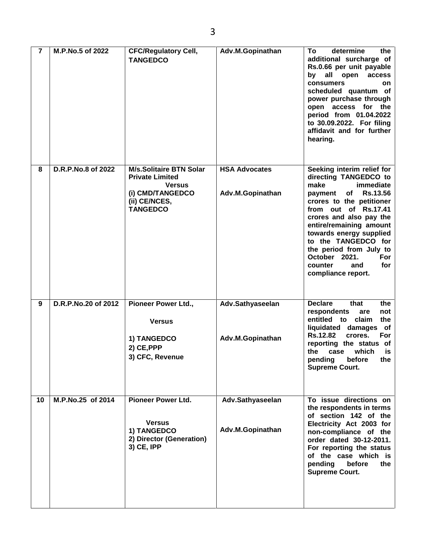| $\overline{7}$ | M.P.No.5 of 2022    | <b>CFC/Regulatory Cell,</b><br><b>TANGEDCO</b>                                                                                    | Adv.M.Gopinathan                         | determine<br>Τo<br>the<br>additional surcharge of<br>Rs.0.66 per unit payable<br>all open<br>access<br>by<br>consumers<br>on<br>scheduled quantum of<br>power purchase through<br>open access for the<br>period from 01.04.2022<br>to 30.09.2022. For filing<br>affidavit and for further<br>hearing.                                                                      |
|----------------|---------------------|-----------------------------------------------------------------------------------------------------------------------------------|------------------------------------------|----------------------------------------------------------------------------------------------------------------------------------------------------------------------------------------------------------------------------------------------------------------------------------------------------------------------------------------------------------------------------|
| 8              | D.R.P.No.8 of 2022  | <b>M/s.Solitaire BTN Solar</b><br><b>Private Limited</b><br><b>Versus</b><br>(i) CMD/TANGEDCO<br>(ii) CE/NCES,<br><b>TANGEDCO</b> | <b>HSA Advocates</b><br>Adv.M.Gopinathan | Seeking interim relief for<br>directing TANGEDCO to<br>make<br>immediate<br>of<br><b>Rs.13.56</b><br>payment<br>crores to the petitioner<br>from out of Rs.17.41<br>crores and also pay the<br>entire/remaining amount<br>towards energy supplied<br>to the TANGEDCO for<br>the period from July to<br>October 2021.<br>For<br>for<br>counter<br>and<br>compliance report. |
| 9              | D.R.P.No.20 of 2012 | Pioneer Power Ltd.,<br><b>Versus</b><br>1) TANGEDCO<br>2) CE, PPP<br>3) CFC, Revenue                                              | Adv.Sathyaseelan<br>Adv.M.Gopinathan     | <b>Declare</b><br>that<br>the<br>respondents<br>not<br>are<br>entitled to claim<br>the<br>liquidated damages<br>of<br><b>Rs.12.82</b><br>crores.<br>For<br>reporting the status of<br>the<br>case<br>which<br>is<br>pending<br>before the<br><b>Supreme Court.</b>                                                                                                         |
| 10             | M.P.No.25 of 2014   | <b>Pioneer Power Ltd.</b><br><b>Versus</b><br>1) TANGEDCO<br>2) Director (Generation)<br>3) CE, IPP                               | Adv.Sathyaseelan<br>Adv.M.Gopinathan     | To issue directions on<br>the respondents in terms<br>of section 142 of the<br>Electricity Act 2003 for<br>non-compliance of the<br>order dated 30-12-2011.<br>For reporting the status<br>of the case which is<br>pending<br>before<br>the<br><b>Supreme Court.</b>                                                                                                       |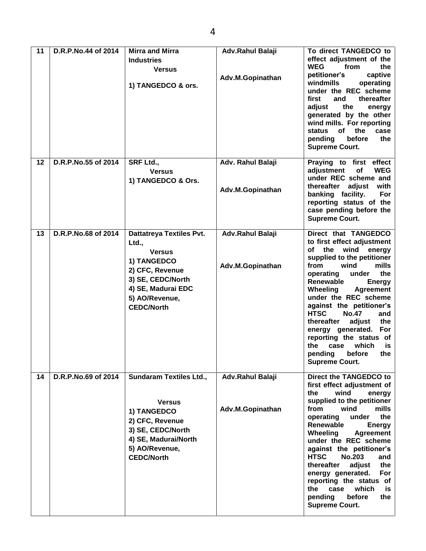| 11 | D.R.P.No.44 of 2014 | <b>Mirra and Mirra</b><br><b>Industries</b><br><b>Versus</b><br>1) TANGEDCO & ors.                                                                                            | Adv.Rahul Balaji<br>Adv.M.Gopinathan  | To direct TANGEDCO to<br>effect adjustment of the<br><b>WEG</b><br>from<br>the<br>petitioner's<br>captive<br>windmills<br>operating<br>under the REC scheme<br>first<br>thereafter<br>and<br>adjust<br>the<br>energy<br>generated by the other<br>wind mills. For reporting<br><b>of</b><br>the<br>case<br>status<br>before<br>pending<br>the<br><b>Supreme Court.</b>                                                                                                                               |
|----|---------------------|-------------------------------------------------------------------------------------------------------------------------------------------------------------------------------|---------------------------------------|------------------------------------------------------------------------------------------------------------------------------------------------------------------------------------------------------------------------------------------------------------------------------------------------------------------------------------------------------------------------------------------------------------------------------------------------------------------------------------------------------|
| 12 | D.R.P.No.55 of 2014 | <b>SRF Ltd.,</b><br><b>Versus</b><br>1) TANGEDCO & Ors.                                                                                                                       | Adv. Rahul Balaji<br>Adv.M.Gopinathan | Praying to first effect<br>of<br>adjustment<br><b>WEG</b><br>under REC scheme and<br>thereafter adjust<br>with<br>banking facility.<br>For<br>reporting status of the<br>case pending before the<br><b>Supreme Court.</b>                                                                                                                                                                                                                                                                            |
| 13 | D.R.P.No.68 of 2014 | <b>Dattatreya Textiles Pvt.</b><br>Ltd.,<br><b>Versus</b><br>1) TANGEDCO<br>2) CFC, Revenue<br>3) SE, CEDC/North<br>4) SE, Madurai EDC<br>5) AO/Revenue,<br><b>CEDC/North</b> | Adv.Rahul Balaji<br>Adv.M.Gopinathan  | Direct that TANGEDCO<br>to first effect adjustment<br>of the wind<br>energy<br>supplied to the petitioner<br>from<br>wind<br>mills<br>the<br>operating<br>under<br>Renewable<br><b>Energy</b><br>Wheeling<br><b>Agreement</b><br>under the REC scheme<br>against the petitioner's<br><b>HTSC</b><br><b>No.47</b><br>and<br>thereafter<br>adjust<br>the<br>energy generated.<br>For<br>reporting the status of<br>the<br>which<br>case<br>is<br>before<br>pending<br>the<br><b>Supreme Court.</b>     |
| 14 | D.R.P.No.69 of 2014 | <b>Sundaram Textiles Ltd.,</b><br><b>Versus</b><br>1) TANGEDCO<br>2) CFC, Revenue<br>3) SE, CEDC/North<br>4) SE, Madurai/North<br>5) AO/Revenue,<br><b>CEDC/North</b>         | Adv.Rahul Balaji<br>Adv.M.Gopinathan  | Direct the TANGEDCO to<br>first effect adjustment of<br>wind<br>the<br>energy<br>supplied to the petitioner<br>mills<br>from<br>wind<br>operating<br>under<br>the<br>Renewable<br><b>Energy</b><br>Wheeling<br><b>Agreement</b><br>under the REC scheme<br>against the petitioner's<br><b>HTSC</b><br><b>No.203</b><br>and<br>thereafter<br>adjust<br>the<br>energy generated.<br>For<br>reporting the status of<br>which<br>the<br>case<br>is.<br>pending<br>before<br>the<br><b>Supreme Court.</b> |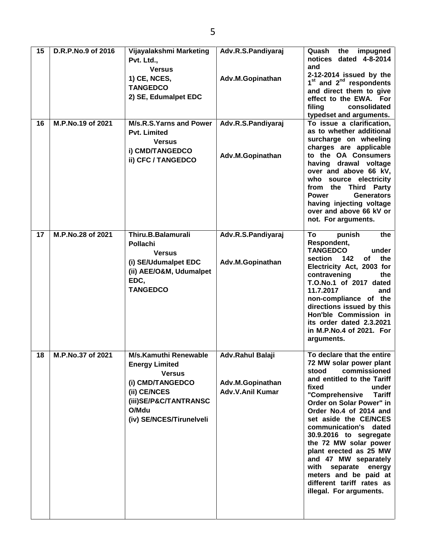| 15 | D.R.P.No.9 of 2016 | Vijayalakshmi Marketing        | Adv.R.S.Pandiyaraj | the<br>Quash<br>impugned                                                   |
|----|--------------------|--------------------------------|--------------------|----------------------------------------------------------------------------|
|    |                    | Pvt. Ltd.,                     |                    | notices dated 4-8-2014                                                     |
|    |                    | <b>Versus</b>                  |                    | and                                                                        |
|    |                    | 1) CE, NCES,                   | Adv.M.Gopinathan   | 2-12-2014 issued by the<br>1 <sup>st</sup> and 2 <sup>nd</sup> respondents |
|    |                    | <b>TANGEDCO</b>                |                    | and direct them to give                                                    |
|    |                    | 2) SE, Edumalpet EDC           |                    | effect to the EWA. For                                                     |
|    |                    |                                |                    | filing<br>consolidated                                                     |
|    |                    |                                |                    | typedset and arguments.                                                    |
| 16 | M.P.No.19 of 2021  | <b>M/s.R.S.Yarns and Power</b> | Adv.R.S.Pandiyaraj | To issue a clarification,                                                  |
|    |                    | <b>Pvt. Limited</b>            |                    | as to whether additional                                                   |
|    |                    | <b>Versus</b>                  |                    | surcharge on wheeling                                                      |
|    |                    | i) CMD/TANGEDCO                | Adv.M.Gopinathan   | charges are applicable<br>to the OA Consumers                              |
|    |                    | ii) CFC / TANGEDCO             |                    | having drawal voltage                                                      |
|    |                    |                                |                    | over and above 66 kV,                                                      |
|    |                    |                                |                    | who source electricity                                                     |
|    |                    |                                |                    | from the Third Party                                                       |
|    |                    |                                |                    | <b>Generators</b><br><b>Power</b>                                          |
|    |                    |                                |                    | having injecting voltage                                                   |
|    |                    |                                |                    | over and above 66 kV or                                                    |
|    |                    |                                |                    | not. For arguments.                                                        |
| 17 | M.P.No.28 of 2021  | Thiru.B.Balamurali             | Adv.R.S.Pandiyaraj | To<br>punish<br>the                                                        |
|    |                    | <b>Pollachi</b>                |                    | Respondent,                                                                |
|    |                    | <b>Versus</b>                  |                    | <b>TANGEDCO</b><br>under                                                   |
|    |                    | (i) SE/Udumalpet EDC           | Adv.M.Gopinathan   | 142<br><b>of</b><br>the<br>section                                         |
|    |                    | (ii) AEE/O&M, Udumalpet        |                    | Electricity Act, 2003 for<br>contravening<br>the                           |
|    |                    | EDC,                           |                    | T.O.No.1 of 2017 dated                                                     |
|    |                    | <b>TANGEDCO</b>                |                    | 11.7.2017<br>and                                                           |
|    |                    |                                |                    | non-compliance of the                                                      |
|    |                    |                                |                    | directions issued by this                                                  |
|    |                    |                                |                    | Hon'ble Commission in                                                      |
|    |                    |                                |                    | its order dated 2.3.2021                                                   |
|    |                    |                                |                    | in M.P.No.4 of 2021. For<br>arguments.                                     |
|    |                    |                                |                    |                                                                            |
| 18 | M.P.No.37 of 2021  | <b>M/s.Kamuthi Renewable</b>   | Adv.Rahul Balaji   | To declare that the entire                                                 |
|    |                    | <b>Energy Limited</b>          |                    | 72 MW solar power plant                                                    |
|    |                    | <b>Versus</b>                  |                    | commissioned<br>stood<br>and entitled to the Tariff                        |
|    |                    | (i) CMD/TANGEDCO               | Adv.M.Gopinathan   | under<br>fixed                                                             |
|    |                    | (ii) CE/NCES                   | Adv.V.Anil Kumar   | "Comprehensive<br><b>Tariff</b>                                            |
|    |                    | (iii)SE/P&C/TANTRANSC          |                    | Order on Solar Power" in                                                   |
|    |                    | O/Mdu                          |                    | Order No.4 of 2014 and                                                     |
|    |                    | (iv) SE/NCES/Tirunelveli       |                    | set aside the CE/NCES                                                      |
|    |                    |                                |                    | communication's dated                                                      |
|    |                    |                                |                    | 30.9.2016 to segregate                                                     |
|    |                    |                                |                    | the 72 MW solar power<br>plant erected as 25 MW                            |
|    |                    |                                |                    | and 47 MW separately                                                       |
|    |                    |                                |                    | with<br>separate energy                                                    |
|    |                    |                                |                    | meters and be paid at                                                      |
|    |                    |                                |                    | different tariff rates as                                                  |
|    |                    |                                |                    | illegal. For arguments.                                                    |
|    |                    |                                |                    |                                                                            |
|    |                    |                                |                    |                                                                            |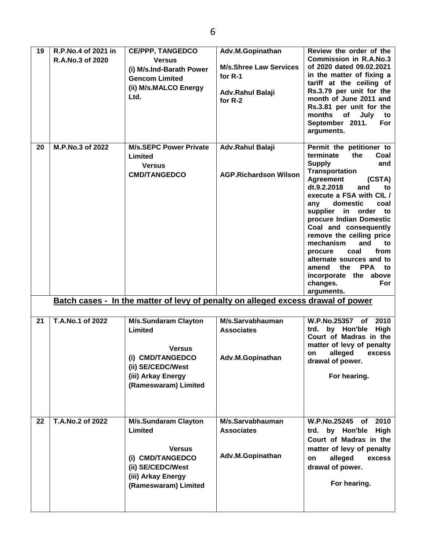| 19 | R.P.No.4 of 2021 in<br>R.A.No.3 of 2020 | <b>CE/PPP, TANGEDCO</b><br><b>Versus</b><br>(i) M/s.Ind-Barath Power<br><b>Gencom Limited</b><br>(ii) M/s.MALCO Energy<br>Ltd.                 | Adv.M.Gopinathan<br><b>M/s.Shree Law Services</b><br>for $R-1$<br><b>Adv.Rahul Balaji</b><br>for $R-2$ | Review the order of the<br><b>Commission in R.A.No.3</b><br>of 2020 dated 09.02.2021<br>in the matter of fixing a<br>tariff at the ceiling of<br>Rs.3.79 per unit for the<br>month of June 2011 and<br>Rs.3.81 per unit for the<br>months of<br>July<br>to<br>September 2011.<br>For<br>arguments.                                                                                                                                                                                              |
|----|-----------------------------------------|------------------------------------------------------------------------------------------------------------------------------------------------|--------------------------------------------------------------------------------------------------------|-------------------------------------------------------------------------------------------------------------------------------------------------------------------------------------------------------------------------------------------------------------------------------------------------------------------------------------------------------------------------------------------------------------------------------------------------------------------------------------------------|
| 20 | M.P.No.3 of 2022                        | <b>M/s.SEPC Power Private</b><br>Limited<br><b>Versus</b><br><b>CMD/TANGEDCO</b>                                                               | Adv.Rahul Balaji<br><b>AGP.Richardson Wilson</b>                                                       | Permit the petitioner to<br>terminate<br>the<br>Coal<br><b>Supply</b><br>and<br>Transportation<br>Agreement<br>(CSTA)<br>dt.9.2.2018<br>and<br>to<br>execute a FSA with CIL /<br>domestic<br>coal<br>any<br>supplier in order to<br>procure Indian Domestic<br>Coal and consequently<br>remove the ceiling price<br>mechanism<br>and<br>to<br>coal<br>from<br>procure<br>alternate sources and to<br>the<br><b>PPA</b><br>amend<br>to<br>incorporate the above<br>changes.<br>For<br>arguments. |
|    |                                         | Batch cases - In the matter of levy of penalty on alleged excess drawal of power                                                               |                                                                                                        |                                                                                                                                                                                                                                                                                                                                                                                                                                                                                                 |
| 21 | T.A.No.1 of 2022                        | <b>M/s.Sundaram Clayton</b><br>Limited<br><b>Versus</b><br>(i) CMD/TANGEDCO<br>(ii) SE/CEDC/West<br>(iii) Arkay Energy<br>(Rameswaram) Limited | M/s.Sarvabhauman<br><b>Associates</b><br>Adv.M.Gopinathan                                              | <b>W.P.No.25357</b><br>2010<br>of<br>by Hon'ble<br>High<br>trd.<br>Court of Madras in the<br>matter of levy of penalty<br>alleged<br>excess<br>on<br>drawal of power.<br>For hearing.                                                                                                                                                                                                                                                                                                           |
| 22 | T.A.No.2 of 2022                        | <b>M/s.Sundaram Clayton</b><br>Limited<br><b>Versus</b><br>(i) CMD/TANGEDCO<br>(ii) SE/CEDC/West<br>(iii) Arkay Energy<br>(Rameswaram) Limited | M/s.Sarvabhauman<br><b>Associates</b><br>Adv.M.Gopinathan                                              | W.P.No.25245<br>2010<br><b>of</b><br>High<br>trd. by Hon'ble<br>Court of Madras in the<br>matter of levy of penalty<br>alleged<br>on<br>excess<br>drawal of power.<br>For hearing.                                                                                                                                                                                                                                                                                                              |